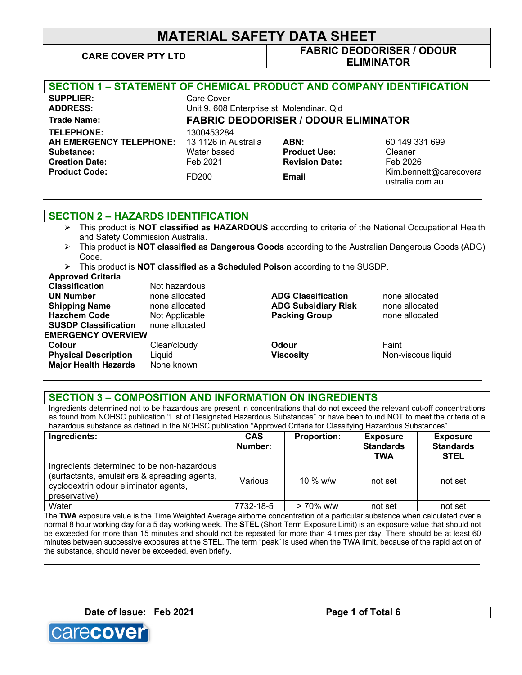**CARE COVER PTY LTD FABRIC DEODORISER / ODOUR ELIMINATOR**

| <b>SECTION 1 - STATEMENT OF CHEMICAL PRODUCT AND COMPANY IDENTIFICATION</b> |                                             |                       |                                           |  |
|-----------------------------------------------------------------------------|---------------------------------------------|-----------------------|-------------------------------------------|--|
| <b>SUPPLIER:</b>                                                            | Care Cover                                  |                       |                                           |  |
| <b>ADDRESS:</b>                                                             | Unit 9, 608 Enterprise st, Molendinar, Qld  |                       |                                           |  |
| <b>Trade Name:</b>                                                          | <b>FABRIC DEODORISER / ODOUR ELIMINATOR</b> |                       |                                           |  |
| <b>TELEPHONE:</b>                                                           | 1300453284                                  |                       |                                           |  |
| AH EMERGENCY TELEPHONE:                                                     | 13 1126 in Australia                        | ABN:                  | 60 149 331 699                            |  |
| Substance:                                                                  | Water based                                 | <b>Product Use:</b>   | Cleaner                                   |  |
| <b>Creation Date:</b>                                                       | Feb 2021                                    | <b>Revision Date:</b> | Feb 2026                                  |  |
| <b>Product Code:</b>                                                        | FD200                                       | Email                 | Kim.bennett@carecovera<br>ustralia.com.au |  |

### **SECTION 2 – HAZARDS IDENTIFICATION**

- Ø This product is **NOT classified as HAZARDOUS** according to criteria of the National Occupational Health and Safety Commission Australia.
- Ø This product is **NOT classified as Dangerous Goods** according to the Australian Dangerous Goods (ADG) Code.
- Ø This product is **NOT classified as a Scheduled Poison** according to the SUSDP.

|  | Approved Criteria |
|--|-------------------|
|--|-------------------|

| <b>Classification</b><br><b>UN Number</b><br><b>Shipping Name</b><br><b>Hazchem Code</b><br><b>SUSDP Classification</b><br><b>EMERGENCY OVERVIEW</b> | Not hazardous<br>none allocated<br>none allocated<br>Not Applicable<br>none allocated | <b>ADG Classification</b><br><b>ADG Subsidiary Risk</b><br><b>Packing Group</b> | none allocated<br>none allocated<br>none allocated |
|------------------------------------------------------------------------------------------------------------------------------------------------------|---------------------------------------------------------------------------------------|---------------------------------------------------------------------------------|----------------------------------------------------|
| Colour<br><b>Physical Description</b><br><b>Major Health Hazards</b>                                                                                 | Clear/cloudy<br>Liquid<br>None known                                                  | Odour<br><b>Viscosity</b>                                                       | Faint<br>Non-viscous liquid                        |

#### **SECTION 3 – COMPOSITION AND INFORMATION ON INGREDIENTS**

Ingredients determined not to be hazardous are present in concentrations that do not exceed the relevant cut-off concentrations as found from NOHSC publication "List of Designated Hazardous Substances" or have been found NOT to meet the criteria of a hazardous substance as defined in the NOHSC publication "Approved Criteria for Classifying Hazardous Substances".

| Ingredients:                                                                                                                                          | <b>CAS</b><br>Number: | <b>Proportion:</b> | <b>Exposure</b><br><b>Standards</b><br><b>TWA</b> | <b>Exposure</b><br><b>Standards</b><br><b>STEL</b> |
|-------------------------------------------------------------------------------------------------------------------------------------------------------|-----------------------|--------------------|---------------------------------------------------|----------------------------------------------------|
| Ingredients determined to be non-hazardous<br>(surfactants, emulsifiers & spreading agents,<br>cyclodextrin odour eliminator agents,<br>preservative) | Various               | 10 % $w/w$         | not set                                           | not set                                            |
| Water                                                                                                                                                 | 7732-18-5             | $> 70\%$ w/w       | not set                                           | not set                                            |

The **TWA** exposure value is the Time Weighted Average airborne concentration of a particular substance when calculated over a normal 8 hour working day for a 5 day working week. The **STEL** (Short Term Exposure Limit) is an exposure value that should not be exceeded for more than 15 minutes and should not be repeated for more than 4 times per day. There should be at least 60 minutes between successive exposures at the STEL. The term "peak" is used when the TWA limit, because of the rapid action of the substance, should never be exceeded, even briefly.

**\_\_\_\_\_\_\_\_\_\_\_\_\_\_\_\_\_\_\_\_\_\_\_\_\_\_\_\_\_\_\_\_\_\_\_\_\_\_\_\_\_\_\_\_\_\_\_\_\_\_\_\_\_\_\_\_\_\_\_\_\_\_\_\_\_\_\_\_\_\_\_\_\_\_\_\_\_\_\_\_\_\_\_\_\_\_\_\_\_\_\_\_**



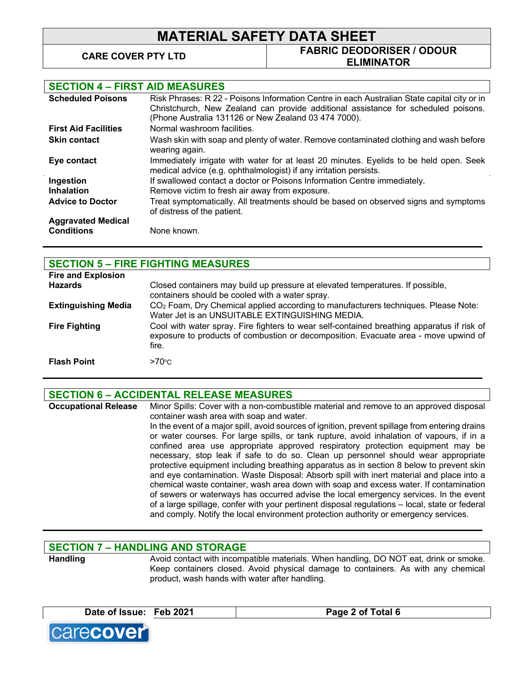**CARE COVER PTY LTD FABRIC DEODORISER / ODOUR ELIMINATOR**

### **SECTION 4 – FIRST AID MEASURES**

| <b>Scheduled Poisons</b>                       | Risk Phrases: R 22 - Poisons Information Centre in each Australian State capital city or in<br>Christchurch, New Zealand can provide additional assistance for scheduled poisons.<br>(Phone Australia 131126 or New Zealand 03 474 7000). |
|------------------------------------------------|-------------------------------------------------------------------------------------------------------------------------------------------------------------------------------------------------------------------------------------------|
| <b>First Aid Facilities</b>                    | Normal washroom facilities.                                                                                                                                                                                                               |
| <b>Skin contact</b>                            | Wash skin with soap and plenty of water. Remove contaminated clothing and wash before<br>wearing again.                                                                                                                                   |
| Eye contact                                    | Immediately irrigate with water for at least 20 minutes. Eyelids to be held open. Seek<br>medical advice (e.g. ophthalmologist) if any irritation persists.                                                                               |
| Ingestion                                      | If swallowed contact a doctor or Poisons Information Centre immediately.                                                                                                                                                                  |
| <b>Inhalation</b>                              | Remove victim to fresh air away from exposure.                                                                                                                                                                                            |
| <b>Advice to Doctor</b>                        | Treat symptomatically. All treatments should be based on observed signs and symptoms<br>of distress of the patient.                                                                                                                       |
| <b>Aggravated Medical</b><br><b>Conditions</b> | None known.                                                                                                                                                                                                                               |

| <b>SECTION 5 - FIRE FIGHTING MEASURES</b> |                                                                                                                                                                                            |  |
|-------------------------------------------|--------------------------------------------------------------------------------------------------------------------------------------------------------------------------------------------|--|
| <b>Fire and Explosion</b>                 |                                                                                                                                                                                            |  |
| <b>Hazards</b>                            | Closed containers may build up pressure at elevated temperatures. If possible,<br>containers should be cooled with a water spray.                                                          |  |
| <b>Extinguishing Media</b>                | CO <sub>2</sub> Foam, Dry Chemical applied according to manufacturers techniques. Please Note:<br>Water Jet is an UNSUITABLE EXTINGUISHING MEDIA.                                          |  |
| <b>Fire Fighting</b>                      | Cool with water spray. Fire fighters to wear self-contained breathing apparatus if risk of<br>exposure to products of combustion or decomposition. Evacuate area - move upwind of<br>fire. |  |
| <b>Flash Point</b>                        | $>70$ °C                                                                                                                                                                                   |  |

## **SECTION 6 – ACCIDENTAL RELEASE MEASURES**

**Occupational Release** Minor Spills: Cover with a non-combustible material and remove to an approved disposal container wash area with soap and water. In the event of a major spill, avoid sources of ignition, prevent spillage from entering drains or water courses. For large spills, or tank rupture, avoid inhalation of vapours, if in a confined area use appropriate approved respiratory protection equipment may be necessary, stop leak if safe to do so. Clean up personnel should wear appropriate protective equipment including breathing apparatus as in section 8 below to prevent skin and eye contamination. Waste Disposal: Absorb spill with inert material and place into a chemical waste container, wash area down with soap and excess water. If contamination of sewers or waterways has occurred advise the local emergency services. In the event of a large spillage, confer with your pertinent disposal regulations – local, state or federal and comply. Notify the local environment protection authority or emergency services.

## **SECTION 7 – HANDLING AND STORAGE**

Handling **Avoid contact with incompatible materials.** When handling, DO NOT eat, drink or smoke. Keep containers closed. Avoid physical damage to containers. As with any chemical product, wash hands with water after handling.



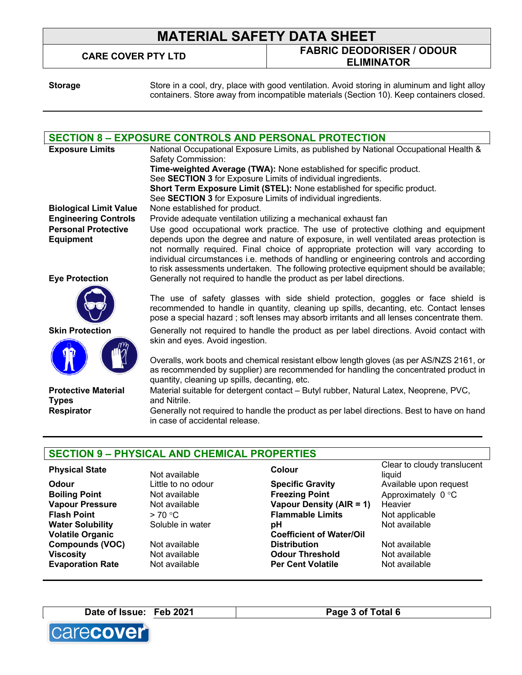# **MATERIAL SAFETY DATA SHEET CARE COVER PTY LTD FABRIC DEODORISER / ODOUR**

**ELIMINATOR**

**Storage** Store in a cool, dry, place with good ventilation. Avoid storing in aluminum and light alloy containers. Store away from incompatible materials (Section 10). Keep containers closed.

#### **SECTION 8 – EXPOSURE CONTROLS AND PERSONAL PROTECTION Exposure Limits** National Occupational Exposure Limits, as published by National Occupational Health & Safety Commission: **Time-weighted Average (TWA):** None established for specific product. See **SECTION 3** for Exposure Limits of individual ingredients. **Short Term Exposure Limit (STEL):** None established for specific product. See **SECTION 3** for Exposure Limits of individual ingredients. **Biological Limit Value** None established for product. **Engineering Controls** Provide adequate ventilation utilizing a mechanical exhaust fan **Personal Protective Equipment** Use good occupational work practice. The use of protective clothing and equipment depends upon the degree and nature of exposure, in well ventilated areas protection is not normally required. Final choice of appropriate protection will vary according to individual circumstances i.e. methods of handling or engineering controls and according to risk assessments undertaken. The following protective equipment should be available; **Eye Protection** Generally not required to handle the product as per label directions. The use of safety glasses with side shield protection, goggles or face shield is recommended to handle in quantity, cleaning up spills, decanting, etc. Contact lenses pose a special hazard ; soft lenses may absorb irritants and all lenses concentrate them. **Skin Protection** Generally not required to handle the product as per label directions. Avoid contact with skin and eyes. Avoid ingestion. Overalls, work boots and chemical resistant elbow length gloves (as per AS/NZS 2161, or as recommended by supplier) are recommended for handling the concentrated product in quantity, cleaning up spills, decanting, etc. **Protective Material Types** Material suitable for detergent contact – Butyl rubber, Natural Latex, Neoprene, PVC, and Nitrile. **Respirator** Generally not required to handle the product as per label directions. Best to have on hand in case of accidental release.

# **SECTION 9 – PHYSICAL AND CHEMICAL PROPERTIES**

**Volatile Organic Compounds (VOC)** Not available

**Odour Little to no odour Specific Gravity** Available upon request **Boiling Point Not available <b>Freezing Point** Approximately 0 °C **Vapour Pressure** Not available **Vapour Density (AIR = 1)** Heavier **Flash Point Flammable Limits** Not applicable **Water Solubility** Soluble in water **pH pH** Not available **Coefficient of Water/Oil Distribution** Not available **Viscosity** Not available **Odour Threshold** Not available **Evaporation Rate Not available <b>Per Cent Volatile Not available Reserve Algebra** 

**Physical State Not available <b>Colour Colour** Colour Clear to cloudy translucent liquid

**Date of Issue:** Feb 2021 **Page 3 of Total 6** 

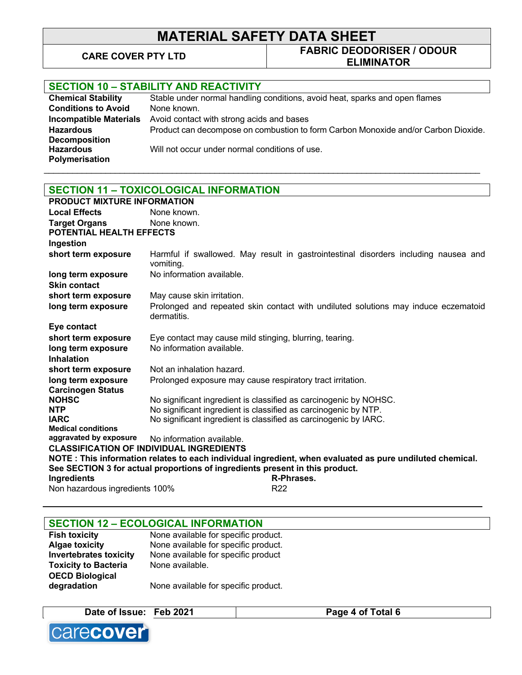# **CARE COVER PTY LTD FABRIC DEODORISER / ODOUR ELIMINATOR**

# **SECTION 10 – STABILITY AND REACTIVITY**

| <b>Chemical Stability</b>  | Stable under normal handling conditions, avoid heat, sparks and open flames        |
|----------------------------|------------------------------------------------------------------------------------|
| <b>Conditions to Avoid</b> | None known.                                                                        |
| Incompatible Materials     | Avoid contact with strong acids and bases                                          |
| Hazardous                  | Product can decompose on combustion to form Carbon Monoxide and/or Carbon Dioxide. |
| <b>Decomposition</b>       |                                                                                    |
| <b>Hazardous</b>           | Will not occur under normal conditions of use.                                     |
| Polymerisation             |                                                                                    |

 $\_$  , and the state of the state of the state of the state of the state of the state of the state of the state of the state of the state of the state of the state of the state of the state of the state of the state of the

| <b>SECTION 11 - TOXICOLOGICAL INFORMATION</b>                                                             |                                                                                                                                     |  |  |
|-----------------------------------------------------------------------------------------------------------|-------------------------------------------------------------------------------------------------------------------------------------|--|--|
| PRODUCT MIXTURE INFORMATION                                                                               |                                                                                                                                     |  |  |
| <b>Local Effects</b>                                                                                      | None known.                                                                                                                         |  |  |
| <b>Target Organs</b>                                                                                      | None known.                                                                                                                         |  |  |
| POTENTIAL HEALTH EFFECTS                                                                                  |                                                                                                                                     |  |  |
| Ingestion                                                                                                 |                                                                                                                                     |  |  |
| short term exposure                                                                                       | Harmful if swallowed. May result in gastrointestinal disorders including nausea and<br>vomiting.                                    |  |  |
| long term exposure<br><b>Skin contact</b>                                                                 | No information available.                                                                                                           |  |  |
| short term exposure                                                                                       | May cause skin irritation.                                                                                                          |  |  |
| long term exposure                                                                                        | Prolonged and repeated skin contact with undiluted solutions may induce eczematoid<br>dermatitis.                                   |  |  |
| Eye contact                                                                                               |                                                                                                                                     |  |  |
| short term exposure                                                                                       | Eye contact may cause mild stinging, blurring, tearing.                                                                             |  |  |
| long term exposure                                                                                        | No information available.                                                                                                           |  |  |
| <b>Inhalation</b>                                                                                         |                                                                                                                                     |  |  |
| short term exposure                                                                                       | Not an inhalation hazard.                                                                                                           |  |  |
| long term exposure                                                                                        | Prolonged exposure may cause respiratory tract irritation.                                                                          |  |  |
| <b>Carcinogen Status</b>                                                                                  |                                                                                                                                     |  |  |
| <b>NOHSC</b><br><b>NTP</b>                                                                                | No significant ingredient is classified as carcinogenic by NOHSC.                                                                   |  |  |
| <b>IARC</b>                                                                                               | No significant ingredient is classified as carcinogenic by NTP.<br>No significant ingredient is classified as carcinogenic by IARC. |  |  |
| <b>Medical conditions</b>                                                                                 |                                                                                                                                     |  |  |
| aggravated by exposure                                                                                    | No information available.                                                                                                           |  |  |
| <b>CLASSIFICATION OF INDIVIDUAL INGREDIENTS</b>                                                           |                                                                                                                                     |  |  |
| NOTE : This information relates to each individual ingredient, when evaluated as pure undiluted chemical. |                                                                                                                                     |  |  |
| See SECTION 3 for actual proportions of ingredients present in this product.                              |                                                                                                                                     |  |  |
| R-Phrases.<br>Ingredients                                                                                 |                                                                                                                                     |  |  |
| Non hazardous ingredients 100%                                                                            | R <sub>22</sub>                                                                                                                     |  |  |

| <b>SECTION 12 - ECOLOGICAL INFORMATION</b> |                                      |  |
|--------------------------------------------|--------------------------------------|--|
| <b>Fish toxicity</b>                       | None available for specific product. |  |
| <b>Algae toxicity</b>                      | None available for specific product. |  |
| <b>Invertebrates toxicity</b>              | None available for specific product  |  |
| <b>Toxicity to Bacteria</b>                | None available.                      |  |
| <b>OECD Biological</b>                     |                                      |  |
| degradation                                | None available for specific product. |  |

| Date of Issue: Feb 2021 | Page 4 of Total 6 |
|-------------------------|-------------------|

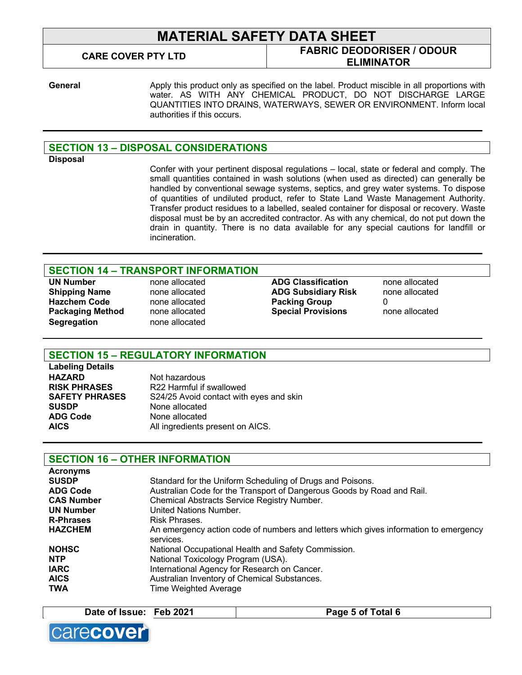**CARE COVER PTY LTD FABRIC DEODORISER / ODOUR ELIMINATOR**

**General** Apply this product only as specified on the label. Product miscible in all proportions with water. AS WITH ANY CHEMICAL PRODUCT, DO NOT DISCHARGE LARGE QUANTITIES INTO DRAINS, WATERWAYS, SEWER OR ENVIRONMENT. Inform local authorities if this occurs.

## **SECTION 13 – DISPOSAL CONSIDERATIONS**

**Disposal**

Confer with your pertinent disposal regulations – local, state or federal and comply. The small quantities contained in wash solutions (when used as directed) can generally be handled by conventional sewage systems, septics, and grey water systems. To dispose of quantities of undiluted product, refer to State Land Waste Management Authority. Transfer product residues to a labelled, sealed container for disposal or recovery. Waste disposal must be by an accredited contractor. As with any chemical, do not put down the drain in quantity. There is no data available for any special cautions for landfill or incineration.

### **SECTION 14 – TRANSPORT INFORMATION**

**Segregation** none allocated

**UN Number** none allocated **ADG Classification** none allocated **Shipping Name** none allocated **ADG Subsidiary Risk** none allocated **Hazchem Code none allocated Packing Group** 0 **Packaging Method** none allocated **Special Provisions** none allocated

### **SECTION 15 – REGULATORY INFORMATION**

**Labeling Details HAZARD** Not hazardous **RISK PHRASES** R22 Harmful if swallowed **SAFETY PHRASES** S24/25 Avoid contact with eyes and skin **SUSDP** None allocated **ADG Code None allocated**<br> **AICS All ingredients r** All ingredients present on AICS.

## **SECTION 16 – OTHER INFORMATION**

| Standard for the Uniform Scheduling of Drugs and Poisons.                                         |
|---------------------------------------------------------------------------------------------------|
| Australian Code for the Transport of Dangerous Goods by Road and Rail.                            |
| Chemical Abstracts Service Registry Number.                                                       |
| United Nations Number.                                                                            |
| Risk Phrases.                                                                                     |
| An emergency action code of numbers and letters which gives information to emergency<br>services. |
| National Occupational Health and Safety Commission.                                               |
| National Toxicology Program (USA).                                                                |
| International Agency for Research on Cancer.                                                      |
| Australian Inventory of Chemical Substances.                                                      |
| <b>Time Weighted Average</b>                                                                      |
|                                                                                                   |



**Date of Issue: Feb 2021 Page 5 of Total 6**